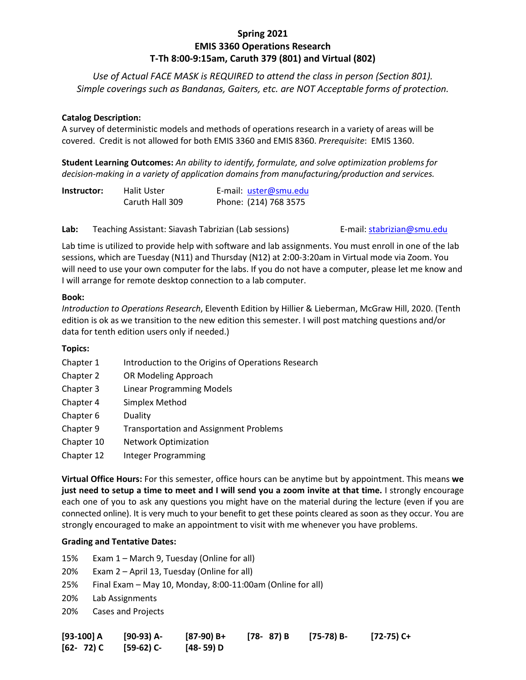# **Spring 2021 EMIS 3360 Operations Research T-Th 8:00-9:15am, Caruth 379 (801) and Virtual (802)**

*Use of Actual FACE MASK is REQUIRED to attend the class in person (Section 801). Simple coverings such as Bandanas, Gaiters, etc. are NOT Acceptable forms of protection.*

### **Catalog Description:**

A survey of deterministic models and methods of operations research in a variety of areas will be covered. Credit is not allowed for both EMIS 3360 and EMIS 8360. *Prerequisite*: EMIS 1360.

**Student Learning Outcomes:** *An ability to identify, formulate, and solve optimization problems for decision-making in a variety of application domains from manufacturing/production and services.*

| Instructor: | Halit Uster     | E-mail: uster@smu.edu |
|-------------|-----------------|-----------------------|
|             | Caruth Hall 309 | Phone: (214) 768 3575 |

Lab: Teaching Assistant: Siavash Tabrizian (Lab sessions) E-mail: [stabrizian@smu.edu](mailto:stabrizian@smu.edu)

Lab time is utilized to provide help with software and lab assignments. You must enroll in one of the lab sessions, which are Tuesday (N11) and Thursday (N12) at 2:00-3:20am in Virtual mode via Zoom. You will need to use your own computer for the labs. If you do not have a computer, please let me know and I will arrange for remote desktop connection to a lab computer.

## **Book:**

*Introduction to Operations Research*, Eleventh Edition by Hillier & Lieberman, McGraw Hill, 2020. (Tenth edition is ok as we transition to the new edition this semester. I will post matching questions and/or data for tenth edition users only if needed.)

## **Topics:**

- Chapter 1 Introduction to the Origins of Operations Research
- Chapter 2 OR Modeling Approach
- Chapter 3 Linear Programming Models
- Chapter 4 Simplex Method
- Chapter 6 Duality
- Chapter 9 Transportation and Assignment Problems
- Chapter 10 Network Optimization
- Chapter 12 Integer Programming

**Virtual Office Hours:** For this semester, office hours can be anytime but by appointment. This means **we just need to setup a time to meet and I will send you a zoom invite at that time.** I strongly encourage each one of you to ask any questions you might have on the material during the lecture (even if you are connected online). It is very much to your benefit to get these points cleared as soon as they occur. You are strongly encouraged to make an appointment to visit with me whenever you have problems.

#### **Grading and Tentative Dates:**

- 15% Exam 1 March 9, Tuesday (Online for all)
- 20% Exam 2 April 13, Tuesday (Online for all)
- 25% Final Exam May 10, Monday, 8:00-11:00am (Online for all)
- 20% Lab Assignments
- 20% Cases and Projects

| $[93-100] A$               | [90-93) A- | [87-90) B+ | [78- 87) B [75-78) B- | [72-75) C+ |
|----------------------------|------------|------------|-----------------------|------------|
| $[62 - 72)$ C $[59-62)$ C- |            | [48- 59) D |                       |            |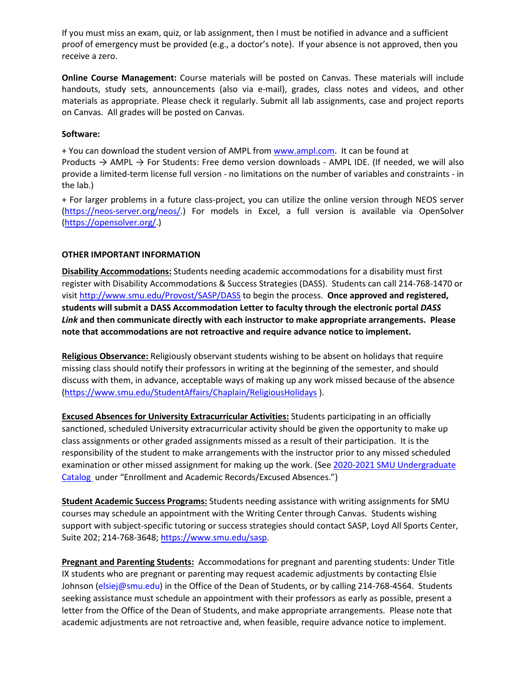If you must miss an exam, quiz, or lab assignment, then I must be notified in advance and a sufficient proof of emergency must be provided (e.g., a doctor's note). If your absence is not approved, then you receive a zero.

**Online Course Management:** Course materials will be posted on Canvas. These materials will include handouts, study sets, announcements (also via e-mail), grades, class notes and videos, and other materials as appropriate. Please check it regularly. Submit all lab assignments, case and project reports on Canvas. All grades will be posted on Canvas.

#### **Software:**

+ You can download the student version of AMPL fro[m www.ampl.com.](http://www.ampl.com/) It can be found at

Products  $\rightarrow$  AMPL  $\rightarrow$  For Students: Free demo version downloads - AMPL IDE. (If needed, we will also provide a limited-term license full version - no limitations on the number of variables and constraints - in the lab.)

+ For larger problems in a future class-project, you can utilize the online version through NEOS server [\(https://neos-server.org/neos/.](https://neos-server.org/neos/)) For models in Excel, a full version is available via OpenSolver [\(https://opensolver.org/.](https://opensolver.org/))

## **OTHER IMPORTANT INFORMATION**

**Disability Accommodations:** Students needing academic accommodations for a disability must first register with Disability Accommodations & Success Strategies (DASS). Students can call 214-768-1470 or visit [http://www.smu.edu/Provost/SASP/DASS](https://www.smu.edu/Provost/SASP/DASS/DisabilityAccommodations) to begin the process. **Once approved and registered, students will submit a DASS Accommodation Letter to faculty through the electronic portal** *DASS Link* **and then communicate directly with each instructor to make appropriate arrangements. Please note that accommodations are not retroactive and require advance notice to implement.**

**Religious Observance:** Religiously observant students wishing to be absent on holidays that require missing class should notify their professors in writing at the beginning of the semester, and should discuss with them, in advance, acceptable ways of making up any work missed because of the absence [\(https://www.smu.edu/StudentAffairs/Chaplain/ReligiousHolidays](https://www.smu.edu/StudentAffairs/Chaplain/ReligiousHolidays) ).

**Excused Absences for University Extracurricular Activities:** Students participating in an officially sanctioned, scheduled University extracurricular activity should be given the opportunity to make up class assignments or other graded assignments missed as a result of their participation. It is the responsibility of the student to make arrangements with the instructor prior to any missed scheduled examination or other missed assignment for making up the work. (See 2020-2021 SMU Undergraduate [Catalog](https://catalog.smu.edu/content.php?catoid=51&navoid=4645&hl=%22excused+absences%22&returnto=search) under "Enrollment and Academic Records/Excused Absences.")

**Student Academic Success Programs:** Students needing assistance with writing assignments for SMU courses may schedule an appointment with the Writing Center through Canvas. Students wishing support with subject-specific tutoring or success strategies should contact SASP, Loyd All Sports Center, Suite 202; 214-768-3648; [https://www.smu.edu/sasp.](https://www.smu.edu/sasp)

**Pregnant and Parenting Students:** Accommodations for pregnant and parenting students: Under Title IX students who are pregnant or parenting may request academic adjustments by contacting Elsie Johnson [\(elsiej@smu.edu\)](mailto:elsiej@smu.edu) in the Office of the Dean of Students, or by calling 214-768-4564. Students seeking assistance must schedule an appointment with their professors as early as possible, present a letter from the Office of the Dean of Students, and make appropriate arrangements. Please note that academic adjustments are not retroactive and, when feasible, require advance notice to implement.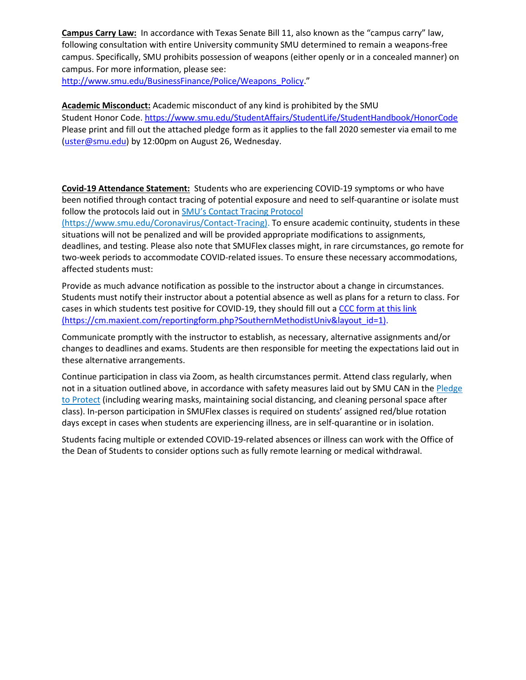**Campus Carry Law:** In accordance with Texas Senate Bill 11, also known as the "campus carry" law, following consultation with entire University community SMU determined to remain a weapons-free campus. Specifically, SMU prohibits possession of weapons (either openly or in a concealed manner) on campus. For more information, please see:

[http://www.smu.edu/BusinessFinance/Police/Weapons\\_Policy.](http://www.smu.edu/BusinessFinance/Police/Weapons_Policy)"

**Academic Misconduct:** Academic misconduct of any kind is prohibited by the SMU Student Honor Code. <https://www.smu.edu/StudentAffairs/StudentLife/StudentHandbook/HonorCode> Please print and fill out the attached pledge form as it applies to the fall 2020 semester via email to me [\(uster@smu.edu\)](mailto:uster@smu.edu) by 12:00pm on August 26, Wednesday.

**Covid-19 Attendance Statement:** Students who are experiencing COVID-19 symptoms or who have been notified through contact tracing of potential exposure and need to self-quarantine or isolate must follow the protocols laid out i[n SMU's Contact Tracing Protocol](https://www.smu.edu/Coronavirus/Contact-Tracing)

(https://www.smu.edu/Coronavirus/Contact-Tracing). To ensure academic continuity, students in these situations will not be penalized and will be provided appropriate modifications to assignments, deadlines, and testing. Please also note that SMUFlex classes might, in rare circumstances, go remote for two-week periods to accommodate COVID-related issues. To ensure these necessary accommodations, affected students must:

Provide as much advance notification as possible to the instructor about a change in circumstances. Students must notify their instructor about a potential absence as well as plans for a return to class. For cases in which students test positive for COVID-19, they should fill out [a CCC form at this link](https://cm.maxient.com/reportingform.php?SouthernMethodistUniv&layout_id=1) (https://cm.maxient.com/reportingform.php?SouthernMethodistUniv&layout\_id=1).

Communicate promptly with the instructor to establish, as necessary, alternative assignments and/or changes to deadlines and exams. Students are then responsible for meeting the expectations laid out in these alternative arrangements.

Continue participation in class via Zoom, as health circumstances permit. Attend class regularly, when not in a situation outlined above, in accordance with safety measures laid out by SMU CAN in the Pledge [to Protect](https://smu.az1.qualtrics.com/jfe/form/SV_2ib3rgSmWNktGvj) (including wearing masks, maintaining social distancing, and cleaning personal space after class). In-person participation in SMUFlex classes is required on students' assigned red/blue rotation days except in cases when students are experiencing illness, are in self-quarantine or in isolation.

Students facing multiple or extended COVID-19-related absences or illness can work with the Office of the Dean of Students to consider options such as fully remote learning or medical withdrawal.